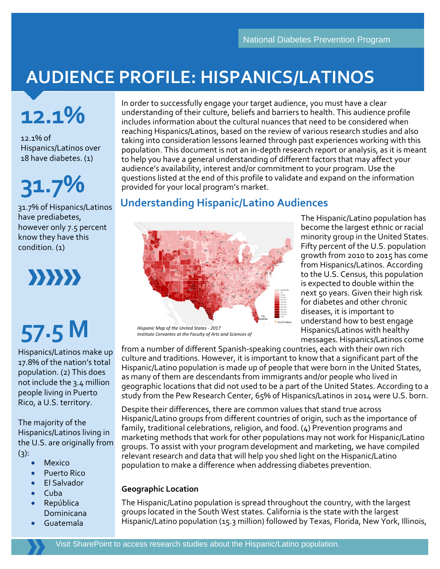# **AUDIENCE PROFILE: HISPANICS/LATINOS**

**12.1%**

12.1% of Hispanics/Latinos over 18 have diabetes. (1)

# **31.7%**

31.7% of Hispanics/Latinos have prediabetes, however only 7.5 percent know they have this condition. (1)

 $\{33333\}$ 

# **57.5 M**

Hispanics/Latinos make up 17.8% of the nation's total population. (2) This does not include the 3.4 million people living in Puerto Rico, a U.S. territory.

The majority of the Hispanics/Latinos living in the U.S. are originally from  $(3)$ :

- Mexico
- Puerto Rico
- El Salvador
- Cuba
- República Dominicana
- Guatemala

In order to successfully engage your target audience, you must have a clear understanding of their culture, beliefs and barriers to health. This audience profile includes information about the cultural nuances that need to be considered when reaching Hispanics/Latinos, based on the review of various research studies and also taking into consideration lessons learned through past experiences working with this population. This document is not an in-depth research report or analysis, as it is meant to help you have a general understanding of different factors that may affect your audience's availability, interest and/or commitment to your program. Use the questions listed at the end of this profile to validate and expand on the information provided for your local program's market.

# **Understanding Hispanic/Latino Audiences**



*Hispanic Map of the United States - 2017 Instituto Cervantes at the Faculty of Arts and Sciences of* 

The Hispanic/Latino population has become the largest ethnic or racial minority group in the United States. Fifty percent of the U.S. population growth from 2010 to 2015 has come from Hispanics/Latinos. According to the U.S. Census, this population is expected to double within the next 50 years. Given their high risk for diabetes and other chronic diseases, it is important to understand how to best engage Hispanics/Latinos with healthy messages. Hispanics/Latinos come

from a number of different Spanish-speaking countries, each with their own rich culture and traditions. However, it is important to know that a significant part of the Hispanic/Latino population is made up of people that were born in the United States, as many of them are descendants from immigrants and/or people who lived in geographic locations that did not used to be a part of the United States. According to a study from the Pew Research Center, 65% of Hispanics/Latinos in 2014 were U.S. born.

Despite their differences, there are common values that stand true across Hispanic/Latino groups from different countries of origin, such as the importance of family, traditional celebrations, religion, and food. (4) Prevention programs and marketing methods that work for other populations may not work for Hispanic/Latino groups. To assist with your program development and marketing, we have compiled relevant research and data that will help you shed light on the Hispanic/Latino population to make a difference when addressing diabetes prevention.

#### **Geographic Location**

The Hispanic/Latino population is spread throughout the country, with the largest groups located in the South West states. California is the state with the largest Hispanic/Latino population (15.3 million) followed by Texas, Florida, New York, Illinois,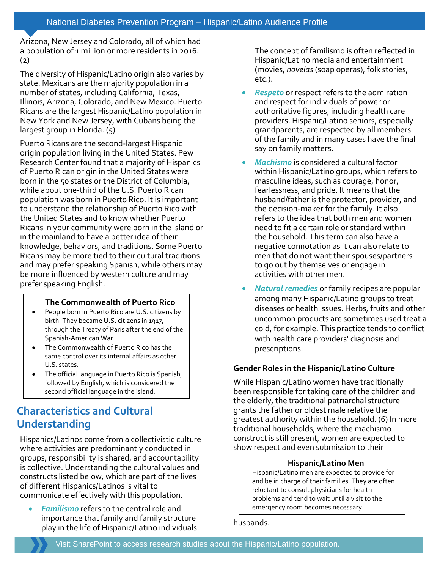Arizona, New Jersey and Colorado, all of which had a population of 1 million or more residents in 2016. (2)

The diversity of Hispanic/Latino origin also varies by state. Mexicans are the majority population in a number of states, including California, Texas, Illinois, Arizona, Colorado, and New Mexico. Puerto Ricans are the largest Hispanic/Latino population in New York and New Jersey, with Cubans being the largest group in Florida. (5)

Puerto Ricans are the second-largest Hispanic origin population living in the United States. Pew Research Center found that a majority of Hispanics of Puerto Rican origin in the United States were born in the 50 states or the District of Columbia, while about one-third of the U.S. Puerto Rican population was born in Puerto Rico. It is important to understand the relationship of Puerto Rico with the United States and to know whether Puerto Ricans in your community were born in the island or in the mainland to have a better idea of their knowledge, behaviors, and traditions. Some Puerto Ricans may be more tied to their cultural traditions and may prefer speaking Spanish, while others may be more influenced by western culture and may prefer speaking English.

#### **The Commonwealth of Puerto Rico**

- People born in Puerto Rico are U.S. citizens by birth. They became U.S. citizens in 1917, through the Treaty of Paris after the end of the Spanish-American War.
- The Commonwealth of Puerto Rico has the same control over its internal affairs as other U.S. states.
- The official language in Puerto Rico is Spanish, followed by English, which is considered the second official language in the island.

# **Characteristics and Cultural Understanding**

Hispanics/Latinos come from a collectivistic culture where activities are predominantly conducted in groups, responsibility is shared, and accountability is collective. Understanding the cultural values and constructs listed below, which are part of the lives of different Hispanics/Latinos is vital to communicate effectively with this population.

• *Familismo* refers to the central role and importance that family and family structure play in the life of Hispanic/Latino individuals. The concept of familismo is often reflected in Hispanic/Latino media and entertainment (movies, *novelas* (soap operas), folk stories, etc.).

- *Respeto* or respect refers to the admiration and respect for individuals of power or authoritative figures, including health care providers. Hispanic/Latino seniors, especially grandparents, are respected by all members of the family and in many cases have the final say on family matters.
- *Machismo* is considered a cultural factor within Hispanic/Latino groups, which refers to masculine ideas, such as courage, honor, fearlessness, and pride. It means that the husband/father is the protector, provider, and the decision-maker for the family. It also refers to the idea that both men and women need to fit a certain role or standard within the household. This term can also have a negative connotation as it can also relate to men that do not want their spouses/partners to go out by themselves or engage in activities with other men.
- *Natural remedies* or family recipes are popular among many Hispanic/Latino groups to treat diseases or health issues. Herbs, fruits and other uncommon products are sometimes used treat a cold, for example. This practice tends to conflict with health care providers' diagnosis and prescriptions.

#### **Gender Roles in the Hispanic/Latino Culture**

While Hispanic/Latino women have traditionally been responsible for taking care of the children and the elderly, the traditional patriarchal structure grants the father or oldest male relative the greatest authority within the household. (6) In more traditional households, where the machismo construct is still present, women are expected to show respect and even submission to their

#### **Hispanic/Latino Men**

Hispanic/Latino men are expected to provide for and be in charge of their families. They are often reluctant to consult physicians for health problems and tend to wait until a visit to the emergency room becomes necessary.

husbands.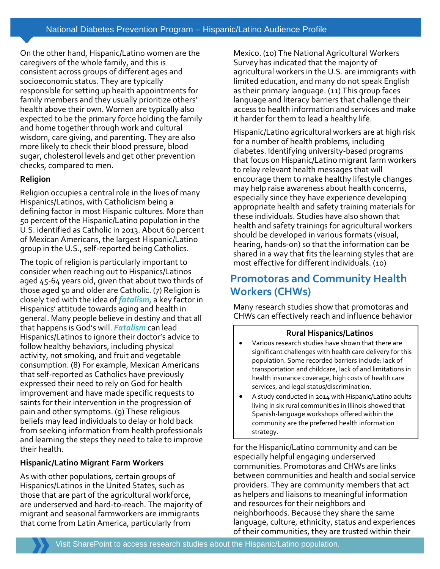On the other hand, Hispanic/Latino women are the caregivers of the whole family, and this is consistent across groups of different ages and socioeconomic status. They are typically responsible for setting up health appointments for family members and they usually prioritize others' health above their own. Women are typically also expected to be the primary force holding the family and home together through work and cultural wisdom, care giving, and parenting. They are also more likely to check their blood pressure, blood sugar, cholesterol levels and get other prevention checks, compared to men.

#### **Religion**

Religion occupies a central role in the lives of many Hispanics/Latinos, with Catholicism being a defining factor in most Hispanic cultures. More than 50 percent of the Hispanic/Latino population in the U.S. identified as Catholic in 2013. About 60 percent of Mexican Americans, the largest Hispanic/Latino group in the U.S., self-reported being Catholics.

The topic of religion is particularly important to consider when reaching out to Hispanics/Latinos aged 45-64 years old, given that about two thirds of those aged 50 and older are Catholic. (7) Religion is closely tied with the idea of *fatalism*, a key factor in Hispanics' attitude towards aging and health in general. Many people believe in destiny and that all that happens is God's will. *Fatalism* can lead Hispanics/Latinos to ignore their doctor's advice to follow healthy behaviors, including physical activity, not smoking, and fruit and vegetable consumption. (8) For example, Mexican Americans that self-reported as Catholics have previously expressed their need to rely on God for health improvement and have made specific requests to saints for their intervention in the progression of pain and other symptoms. (9) These religious beliefs may lead individuals to delay or hold back from seeking information from health professionals and learning the steps they need to take to improve their health.

#### **Hispanic/Latino Migrant Farm Workers**

As with other populations, certain groups of Hispanics/Latinos in the United States, such as those that are part of the agricultural workforce, are underserved and hard-to-reach. The majority of migrant and seasonal farmworkers are immigrants that come from Latin America, particularly from

Mexico. (10) The National Agricultural Workers Surveyhas indicated that the majority of agricultural workers in the U.S. are immigrants with limited education, and many do not speak English as their primary language. (11) This group faces language and literacy barriers that challenge their access to health information and services and make it harder for them to lead a healthy life.

Hispanic/Latino agricultural workers are at high risk for a number of health problems, including diabetes. Identifying university-based programs that focus on Hispanic/Latino migrant farm workers to relay relevant health messages that will encourage them to make healthy lifestyle changes may help raise awareness about health concerns, especially since they have experience developing appropriate health and safety training materials for these individuals. Studies have also shown that health and safety trainings for agricultural workers should be developed in various formats (visual, hearing, hands-on) so that the information can be shared in a way that fits the learning styles that are most effective for different individuals. (10)

# **Promotoras and Community Health Workers (CHWs)**

Many research studies show that promotoras and CHWs can effectively reach and influence behavior

#### **Rural Hispanics/Latinos**

- Various research studies have shown that there are significant challenges with health care delivery for this population. Some recorded barriers include: lack of transportation and childcare, lack of and limitations in health insurance coverage, high costs of health care services, and legal status/discrimination.
- A study conducted in 2014 with Hispanic/Latino adults living in six rural communities in Illinois showed that Spanish-language workshops offered within the community are the preferred health information strategy.

for the Hispanic/Latino community and can be especially helpful engaging underserved communities. Promotoras and CHWs are links between communities and health and social service providers. They are community members that act as helpers and liaisons to meaningful information and resources for their neighbors and neighborhoods. Because they share the same language, culture, ethnicity, status and experiences of their communities, they are trusted within their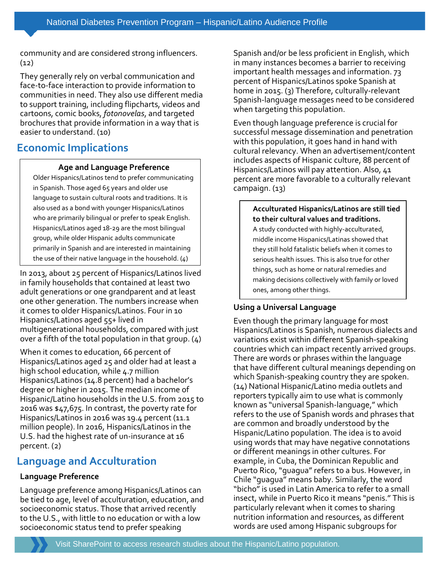community and are considered strong influencers.  $(12)$ 

They generally rely on verbal communication and face-to-face interaction to provide information to communities in need. They also use different media to support training, including flipcharts, videos and cartoons, comic books, *fotonovelas*, and targeted brochures that provide information in a way that is easier to understand. (10)

## **Economic Implications**

#### **Age and Language Preference**

Older Hispanics/Latinos tend to prefer communicating in Spanish. Those aged 65 years and older use language to sustain cultural roots and traditions. It is also used as a bond with younger Hispanics/Latinos who are primarily bilingual or prefer to speak English. Hispanics/Latinos aged 18-29 are the most bilingual group, while older Hispanic adults communicate primarily in Spanish and are interested in maintaining the use of their native language in the household. (*4*)

In 2013, about 25 percent of Hispanics/Latinos lived in family households that contained at least two adult generations or one grandparent and at least one other generation. The numbers increase when it comes to older Hispanics/Latinos. Four in 10 Hispanics/Latinos aged 55+ lived in multigenerational households, compared with just over a fifth of the total population in that group. (4)

When it comes to education, 66 percent of Hispanics/Latinos aged 25 and older had at least a high school education, while 4.7 million Hispanics/Latinos (14.8 percent) had a bachelor's degree or higher in 2015. The median income of Hispanic/Latino households in the U.S. from 2015 to 2016 was \$47,675. In contrast, the poverty rate for Hispanics/Latinos in 2016 was 19.4 percent (11.1 million people). In 2016, Hispanics/Latinos in the U.S. had the highest rate of un-insurance at 16 percent. (2)

# **Language and Acculturation**

#### **Language Preference**

Language preference among Hispanics/Latinos can be tied to age, level of acculturation, education, and socioeconomic status. Those that arrived recently to the U.S., with little to no education or with a low socioeconomic status tend to prefer speaking

Spanish and/or be less proficient in English, which in many instances becomes a barrier to receiving important health messages and information. 73 percent of Hispanics/Latinos spoke Spanish at home in 2015. (3) Therefore, culturally-relevant Spanish-language messages need to be considered when targeting this population.

Even though language preference is crucial for successful message dissemination and penetration with this population, it goes hand in hand with cultural relevancy. When an advertisement/content includes aspects of Hispanic culture, 88 percent of Hispanics/Latinos will pay attention. Also, 41 percent are more favorable to a culturally relevant campaign. (13)

#### **Acculturated Hispanics/Latinos are still tied to their cultural values and traditions.**

A study conducted with highly-acculturated, middle income Hispanics/Latinas showed that they still hold fatalistic beliefs when it comes to serious health issues. This is also true for other things, such as home or natural remedies and making decisions collectively with family or loved ones, among other things.

#### **Using a Universal Language**

Even though the primary language for most Hispanics/Latinos is Spanish, numerous dialects and variations exist within different Spanish-speaking countries which can impact recently arrived groups. There are words or phrases within the language that have different cultural meanings depending on which Spanish-speaking country they are spoken. (14) National Hispanic/Latino media outlets and reporters typically aim to use what is commonly known as "universal Spanish-language," which refers to the use of Spanish words and phrases that are common and broadly understood by the Hispanic/Latino population. The idea is to avoid using words that may have negative connotations or different meanings in other cultures. For example, in Cuba, the Dominican Republic and Puerto Rico, "guagua" refers to a bus. However, in Chile "guagua" means baby. Similarly, the word "bicho" is used in Latin America to refer to a small insect, while in Puerto Rico it means "penis." This is particularly relevant when it comes to sharing nutrition information and resources, as different words are used among Hispanic subgroups for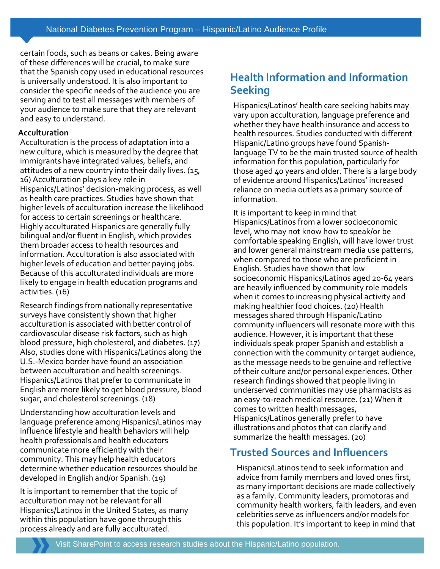certain foods, such as beans or cakes. Being aware of these differences will be crucial, to make sure that the Spanish copy used in educational resources is universally understood. It is also important to consider the specific needs of the audience you are serving and to test all messages with members of your audience to make sure that they are relevant and easy to understand.

#### **Acculturation**

Acculturation is the process of adaptation into a new culture, which is measured by the degree that immigrants have integrated values, beliefs, and attitudes of a new country into their daily lives. (15*,*  16) Acculturation plays a key role in Hispanics/Latinos' decision-making process, as well as health care practices. Studies have shown that higher levels of acculturation increase the likelihood for access to certain screenings or healthcare. Highly acculturated Hispanics are generally fully bilingual and/or fluent in English, which provides them broader access to health resources and information. Acculturation is also associated with higher levels of education and better paying jobs. Because of this acculturated individuals are more likely to engage in health education programs and activities. (16)

Research findings from nationally representative surveys have consistently shown that higher acculturation is associated with better control of cardiovascular disease risk factors, such as high blood pressure, high cholesterol, and diabetes. (17) Also, studies done with Hispanics/Latinos along the U.S.-Mexico border have found an association between acculturation and health screenings. Hispanics/Latinos that prefer to communicate in English are more likely to get blood pressure, blood sugar, and cholesterol screenings. (18)

Understanding how acculturation levels and language preference among Hispanics/Latinos may influence lifestyle and health behaviors will help health professionals and health educators communicate more efficiently with their community. This may help health educators determine whether education resources should be developed in English and/or Spanish. (19)

It is important to remember that the topic of acculturation may not be relevant for all Hispanics/Latinos in the United States, as many within this population have gone through this process already and are fully acculturated.

# **Health Information and Information Seeking**

Hispanics/Latinos' health care seeking habits may vary upon acculturation, language preference and whether they have health insurance and access to health resources. Studies conducted with different Hispanic/Latino groups have found Spanishlanguage TV to be the main trusted source of health information for this population, particularly for those aged 40 years and older. There is a large body of evidence around Hispanics/Latinos' increased reliance on media outlets as a primary source of information.

It is important to keep in mind that Hispanics/Latinos from a lower socioeconomic level, who may not know how to speak/or be comfortable speaking English, will have lower trust and lower general mainstream media use patterns, when compared to those who are proficient in English. Studies have shown that low socioeconomic Hispanics/Latinos aged 20-64 years are heavily influenced by community role models when it comes to increasing physical activity and making healthier food choices. (20) Health messages shared through Hispanic/Latino community influencers will resonate more with this audience. However, it is important that these individuals speak proper Spanish and establish a connection with the community or target audience, as the message needs to be genuine and reflective of their culture and/or personal experiences. Other research findings showed that people living in underserved communities may use pharmacists as an easy-to-reach medical resource. (21) When it comes to written health messages, Hispanics/Latinos generally prefer to have illustrations and photos that can clarify and summarize the health messages. (20)

### **Trusted Sources and Influencers**

Hispanics/Latinos tend to seek information and advice from family members and loved ones first, as many important decisions are made collectively as a family. Community leaders, promotoras and community health workers, faith leaders, and even celebrities serve as influencers and/or models for this population. It's important to keep in mind that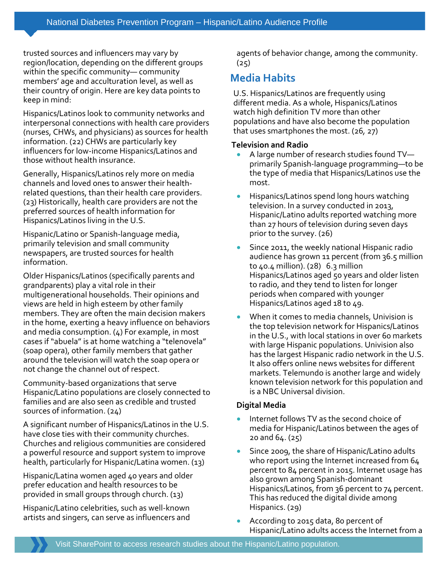trusted sources and influencers may vary by region/location, depending on the different groups within the specific community— community members' age and acculturation level, as well as their country of origin. Here are key data points to keep in mind:

Hispanics/Latinos look to community networks and interpersonal connections with health care providers (nurses, CHWs, and physicians) as sources for health information. (22) CHWs are particularly key influencers for low-income Hispanics/Latinos and those without health insurance.

Generally, Hispanics/Latinos rely more on media channels and loved ones to answer their healthrelated questions, than their health care providers. (23) Historically, health care providers are not the preferred sources of health information for Hispanics/Latinos living in the U.S.

Hispanic/Latino or Spanish-language media, primarily television and small community newspapers, are trusted sources for health information.

Older Hispanics/Latinos (specifically parents and grandparents) play a vital role in their multigenerational households. Their opinions and views are held in high esteem by other family members. They are often the main decision makers in the home, exerting a heavy influence on behaviors and media consumption.  $(4)$  For example, in most cases if "abuela" is at home watching a "telenovela" (soap opera), other family members that gather around the television will watch the soap opera or not change the channel out of respect.

Community-based organizations that serve Hispanic/Latino populations are closely connected to families and are also seen as credible and trusted sources of information. (24)

A significant number of Hispanics/Latinos in the U.S. have close ties with their community churches. Churches and religious communities are considered a powerful resource and support system to improve health, particularly for Hispanic/Latina women. (13)

Hispanic/Latina women aged 40 years and older prefer education and health resources to be provided in small groups through church. (13)

Hispanic/Latino celebrities, such as well-known artists and singers, can serve as influencers and agents of behavior change, among the community.  $(25)$ 

# **Media Habits**

U.S. Hispanics/Latinos are frequently using different media. As a whole, Hispanics/Latinos watch high definition TV more than other populations and have also become the population that uses smartphones the most. (26*,* 27)

#### **Television and Radio**

- A large number of research studies found TV primarily Spanish-language programming—to be the type of media that Hispanics/Latinos use the most.
- Hispanics/Latinos spend long hours watching television. In a survey conducted in 2013, Hispanic/Latino adults reported watching more than 27 hours of television during seven days prior to the survey. (26)
- Since 2011, the weekly national Hispanic radio audience has grown 11 percent (from 36.5 million to 40.4 million). (28) 6.3 million Hispanics/Latinos aged 50 years and older listen to radio, and they tend to listen for longer periods when compared with younger Hispanics/Latinos aged 18 to 49.
- When it comes to media channels, Univision is the top television network for Hispanics/Latinos in the U.S., with local stations in over 60 markets with large Hispanic populations. Univision also has the largest Hispanic radio network in the U.S. It also offers online news websites for different markets. Telemundo is another large and widely known television network for this population and is a NBC Universal division.

#### **Digital Media**

- Internet follows TV as the second choice of media for Hispanic/Latinos between the ages of 20 and 64. (25)
- Since 2009, the share of Hispanic/Latino adults who report using the Internet increased from 64 percent to 84 percent in 2015. Internet usage has also grown among Spanish-dominant Hispanics/Latinos, from 36 percent to 74 percent. This has reduced the digital divide among Hispanics. (29)
- According to 2015 data, 80 percent of Hispanic/Latino adults access the Internet from a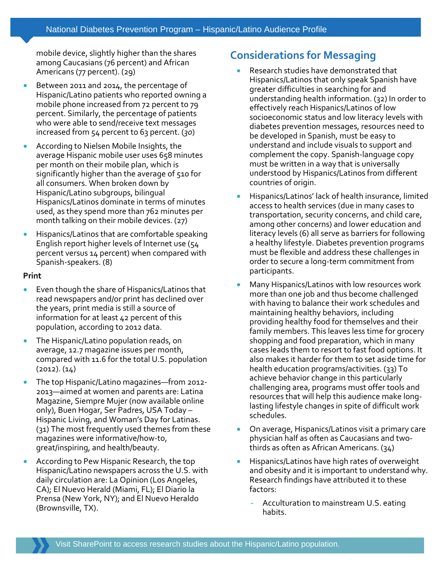mobile device, slightly higher than the shares among Caucasians (76 percent) and African Americans (77 percent). (29)

- Between 2011 and 2014, the percentage of Hispanic/Latino patients who reported owning a mobile phone increased from 72 percent to 79 percent. Similarly, the percentage of patients who were able to send/receive text messages increased from 54 percent to 63 percent. (*30*)
- According to Nielsen Mobile Insights, the average Hispanic mobile user uses 658 minutes per month on their mobile plan, which is significantly higher than the average of 510 for all consumers. When broken down by Hispanic/Latino subgroups, bilingual Hispanics/Latinos dominate in terms of minutes used, as they spend more than 762 minutes per month talking on their mobile devices. (27)
- Hispanics/Latinos that are comfortable speaking English report higher levels of Internet use (54 percent versus 14 percent) when compared with Spanish-speakers. (8)

#### **Print**

- Even though the share of Hispanics/Latinos that read newspapers and/or print has declined over the years, print media is still a source of information for at least 42 percent of this population, according to 2012 data.
- The Hispanic/Latino population reads, on average, 12.7 magazine issues per month, compared with 11.6 for the total U.S. population  $(2012)$ .  $(14)$
- The top Hispanic/Latino magazines—from 2012- 2013—aimed at women and parents are: Latina Magazine, Siempre Mujer (now available online only), Buen Hogar, Ser Padres, USA Today – Hispanic Living, and Woman's Day for Latinas. (31) The most frequently used themes from these magazines were informative/how-to, great/inspiring, and health/beauty.
- According to Pew Hispanic Research, the top Hispanic/Latino newspapers across the U.S. with daily circulation are: La Opinion (Los Angeles, CA); El Nuevo Herald (Miami, FL); El Diario la Prensa (New York, NY); and El Nuevo Heraldo (Brownsville, TX).

# **Considerations for Messaging**

- Research studies have demonstrated that Hispanics/Latinos that only speak Spanish have greater difficulties in searching for and understanding health information. (32) In order to effectively reach Hispanics/Latinos of low socioeconomic status and low literacy levels with diabetes prevention messages, resources need to be developed in Spanish, must be easy to understand and include visuals to support and complement the copy. Spanish-language copy must be written in a way that is universally understood by Hispanics/Latinos from different countries of origin.
- Hispanics/Latinos' lack of health insurance, limited access to health services (due in many cases to transportation, security concerns, and child care, among other concerns) and lower education and literacy levels (6) all serve as barriers for following a healthy lifestyle. Diabetes prevention programs must be flexible and address these challenges in order to secure a long-term commitment from participants.
- Many Hispanics/Latinos with low resources work more than one job and thus become challenged with having to balance their work schedules and maintaining healthy behaviors, including providing healthy food for themselves and their family members. This leaves less time for grocery shopping and food preparation, which in many cases leads them to resort to fast food options. It also makes it harder for them to set aside time for health education programs/activities. (33) To achieve behavior change in this particularly challenging area, programs must offer tools and resources that will help this audience make longlasting lifestyle changes in spite of difficult work schedules.
- On average, Hispanics/Latinos visit a primary care physician half as often as Caucasians and twothirds as often as African Americans. (34)
- Hispanics/Latinos have high rates of overweight and obesity and it is important to understand why. Research findings have attributed it to these factors:
	- Acculturation to mainstream U.S. eating habits.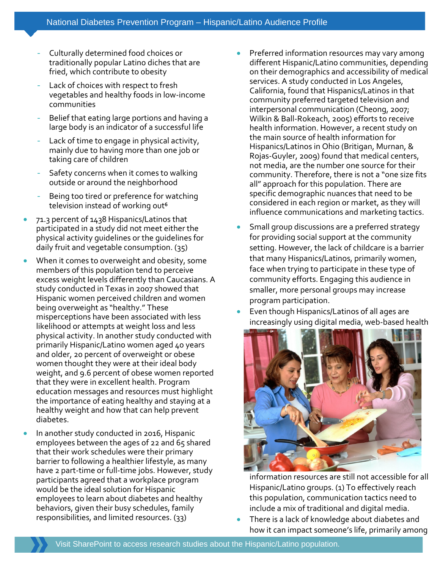- Culturally determined food choices or traditionally popular Latino diches that are fried, which contribute to obesity
- Lack of choices with respect to fresh vegetables and healthy foods in low-income communities
- Belief that eating large portions and having a large body is an indicator of a successful life
- Lack of time to engage in physical activity, mainly due to having more than one job or taking care of children
- Safety concerns when it comes to walking outside or around the neighborhood
- Being too tired or preference for watching television instead of working out<sup>6</sup>
- 71.3 percent of 1438 Hispanics/Latinos that participated in a study did not meet either the physical activity guidelines or the guidelines for daily fruit and vegetable consumption. (35)
- When it comes to overweight and obesity, some members of this population tend to perceive excess weight levels differently than Caucasians. A study conducted in Texas in 2007 showed that Hispanic women perceived children and women being overweight as "healthy." These misperceptions have been associated with less likelihood or attempts at weight loss and less physical activity. In another study conducted with primarily Hispanic/Latino women aged 40 years and older, 20 percent of overweight or obese women thought they were at their ideal body weight, and 9.6 percent of obese women reported that they were in excellent health. Program education messages and resources must highlight the importance of eating healthy and staying at a healthy weight and how that can help prevent diabetes.
- In another study conducted in 2016, Hispanic employees between the ages of 22 and 65 shared that their work schedules were their primary barrier to following a healthier lifestyle, as many have 2 part-time or full-time jobs. However, study participants agreed that a workplace program would be the ideal solution for Hispanic employees to learn about diabetes and healthy behaviors, given their busy schedules, family responsibilities, and limited resources. (33)
- Preferred information resources may vary among different Hispanic/Latino communities, depending on their demographics and accessibility of medical services. A study conducted in Los Angeles, California, found that Hispanics/Latinos in that community preferred targeted television and interpersonal communication (Cheong, 2007; Wilkin & Ball-Rokeach, 2005) efforts to receive health information. However, a recent study on the main source of health information for Hispanics/Latinos in Ohio (Britigan, Murnan, & Rojas-Guyler, 2009) found that medical centers, not media, are the number one source for their community. Therefore, there is not a "one size fits all" approach for this population. There are specific demographic nuances that need to be considered in each region or market, as they will influence communications and marketing tactics.
- Small group discussions are a preferred strategy for providing social support at the community setting. However, the lack of childcare is a barrier that many Hispanics/Latinos, primarily women, face when trying to participate in these type of community efforts. Engaging this audience in smaller, more personal groups may increase program participation.
- Even though Hispanics/Latinos of all ages are increasingly using digital media, web-based health



information resources are still not accessible for all Hispanic/Latino groups. (1) To effectively reach this population, communication tactics need to include a mix of traditional and digital media.

There is a lack of knowledge about diabetes and how it can impact someone's life, primarily among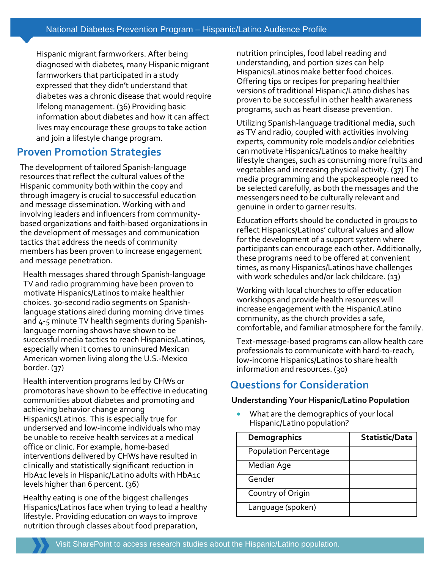Hispanic migrant farmworkers. After being diagnosed with diabetes, many Hispanic migrant farmworkers that participated in a study expressed that they didn't understand that diabetes was a chronic disease that would require lifelong management. (36) Providing basic information about diabetes and how it can affect lives may encourage these groups to take action and join a lifestyle change program.

# **Proven Promotion Strategies**

The development of tailored Spanish-language resources that reflect the cultural values of the Hispanic community both within the copy and through imagery is crucial to successful education and message dissemination. Working with and involving leaders and influencers from communitybased organizations and faith-based organizations in the development of messages and communication tactics that address the needs of community members has been proven to increase engagement and message penetration.

Health messages shared through Spanish-language TV and radio programming have been proven to motivate Hispanics/Latinos to make healthier choices. 30-second radio segments on Spanishlanguage stations aired during morning drive times and 4-5 minute TV health segments during Spanishlanguage morning shows have shown to be successful media tactics to reach Hispanics/Latinos, especially when it comes to uninsured Mexican American women living along the U.S.-Mexico border. (37)

Health intervention programs led by CHWs or promotoras have shown to be effective in educating communities about diabetes and promoting and achieving behavior change among Hispanics/Latinos. This is especially true for underserved and low-income individuals who may be unable to receive health services at a medical office or clinic. For example, home-based interventions delivered by CHWs have resulted in clinically and statistically significant reduction in HbA1c levels in Hispanic/Latino adults with HbA1c levels higher than 6 percent. (36)

Healthy eating is one of the biggest challenges Hispanics/Latinos face when trying to lead a healthy lifestyle. Providing education on ways to improve nutrition through classes about food preparation,

nutrition principles, food label reading and understanding, and portion sizes can help Hispanics/Latinos make better food choices. Offering tips or recipes for preparing healthier versions of traditional Hispanic/Latino dishes has proven to be successful in other health awareness programs, such as heart disease prevention.

Utilizing Spanish-language traditional media, such as TV and radio, coupled with activities involving experts, community role models and/or celebrities can motivate Hispanics/Latinos to make healthy lifestyle changes, such as consuming more fruits and vegetables and increasing physical activity. (37) The media programming and the spokespeople need to be selected carefully, as both the messages and the messengers need to be culturally relevant and genuine in order to garner results.

Education efforts should be conducted in groups to reflect Hispanics/Latinos' cultural values and allow for the development of a support system where participants can encourage each other. Additionally, these programs need to be offered at convenient times, as many Hispanics/Latinos have challenges with work schedules and/or lack childcare. (13)

Working with local churches to offer education workshops and provide health resources will increase engagement with the Hispanic/Latino community, as the church provides a safe, comfortable, and familiar atmosphere for the family.

Text-message-based programs can allow health care professionals to communicate with hard-to-reach, low-income Hispanics/Latinos to share health information and resources. (30)

# **Questions for Consideration**

#### **Understanding Your Hispanic/Latino Population**

• What are the demographics of your local Hispanic/Latino population?

| <b>Demographics</b>          | Statistic/Data |
|------------------------------|----------------|
| <b>Population Percentage</b> |                |
| Median Age                   |                |
| Gender                       |                |
| Country of Origin            |                |
| Language (spoken)            |                |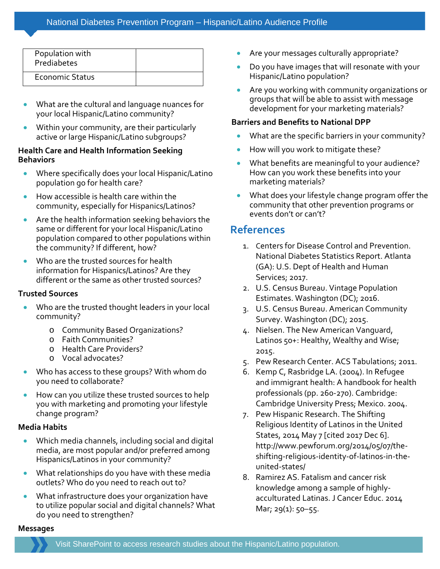| Population with<br>Prediabetes |  |
|--------------------------------|--|
| Economic Status                |  |

- What are the cultural and language nuances for your local Hispanic/Latino community?
- Within your community, are their particularly active or large Hispanic/Latino subgroups?

#### **Health Care and Health Information Seeking Behaviors**

- Where specifically does your local Hispanic/Latino population go for health care?
- How accessible is health care within the community, especially for Hispanics/Latinos?
- Are the health information seeking behaviors the same or different for your local Hispanic/Latino population compared to other populations within the community? If different, how?
- Who are the trusted sources for health information for Hispanics/Latinos? Are they different or the same as other trusted sources?

#### **Trusted Sources**

- Who are the trusted thought leaders in your local community?
	- o Community Based Organizations?
	- o Faith Communities?
	- o Health Care Providers?
	- o Vocal advocates?
- Who has access to these groups? With whom do you need to collaborate?
- How can you utilize these trusted sources to help you with marketing and promoting your lifestyle change program?

#### **Media Habits**

- Which media channels, including social and digital media, are most popular and/or preferred among Hispanics/Latinos in your community?
- What relationships do you have with these media outlets? Who do you need to reach out to?
- What infrastructure does your organization have to utilize popular social and digital channels? What do you need to strengthen?
- Are your messages culturally appropriate?
- Do you have images that will resonate with your Hispanic/Latino population?
- Are you working with community organizations or groups that will be able to assist with message development for your marketing materials?

#### **Barriers and Benefits to National DPP**

- What are the specific barriers in your community?
- How will you work to mitigate these?
- What benefits are meaningful to your audience? How can you work these benefits into your marketing materials?
- What does your lifestyle change program offer the community that other prevention programs or events don't or can't?

## **References**

- 1. Centers for Disease Control and Prevention. National Diabetes Statistics Report. Atlanta (GA): U.S. Dept of Health and Human Services; 2017.
- 2. U.S. Census Bureau. Vintage Population Estimates. Washington (DC); 2016.
- 3. U.S. Census Bureau. American Community Survey. Washington (DC); 2015.
- 4. Nielsen. The New American Vanguard, Latinos 50+: Healthy, Wealthy and Wise; 2015.
- 5. Pew Research Center. ACS Tabulations; 2011.
- 6. Kemp C, Rasbridge LA. (2004). In Refugee and immigrant health: A handbook for health professionals (pp. 260-270). Cambridge: Cambridge University Press; Mexico. 2004.
- 7. Pew Hispanic Research. The Shifting Religious Identity of Latinos in the United States, 2014 May 7 [cited 2017 Dec 6]. [http://www.pewforum.org/2014/05/07/the](http://www.pewforum.org/2014/05/07/the-shifting-religious-identity-of-latinos-in-the-united-states/)[shifting-religious-identity-of-latinos-in-the](http://www.pewforum.org/2014/05/07/the-shifting-religious-identity-of-latinos-in-the-united-states/)[united-states/](http://www.pewforum.org/2014/05/07/the-shifting-religious-identity-of-latinos-in-the-united-states/)
- 8. Ramirez AS. Fatalism and cancer risk knowledge among a sample of highlyacculturated Latinas. J Cancer Educ. 2014 Mar; 29(1): 50–55.

#### **Messages**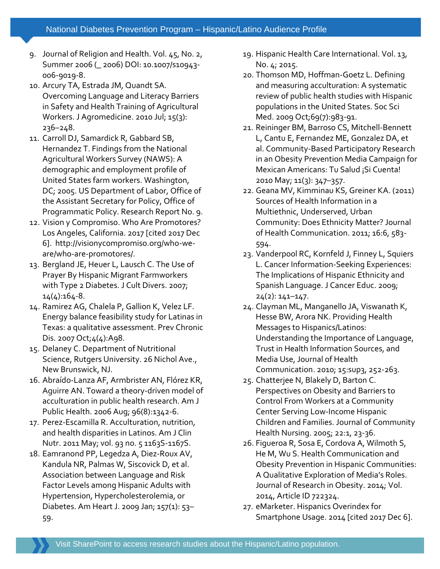- 9. Journal of Religion and Health. Vol. 45, No. 2, Summer 2006 (\_ 2006) DOI: 10.1007/s10943- 006-9019-8.
- 10. Arcury TA, Estrada JM, Quandt SA. Overcoming Language and Literacy Barriers in Safety and Health Training of Agricultural Workers. J Agromedicine. 2010 Jul; 15(3): 236–248.
- 11. Carroll DJ, Samardick R, Gabbard SB, Hernandez T. Findings from the National Agricultural Workers Survey (NAWS): A demographic and employment profile of United States farm workers. Washington, DC; 2005. US Department of Labor, Office of the Assistant Secretary for Policy, Office of Programmatic Policy. Research Report No. 9.
- 12. Vision y Compromiso. Who Are Promotores? Los Angeles, California. 2017 [cited 2017 Dec 6]. http://visionycompromiso.org/who-weare/who-are-promotores/.
- 13. Bergland JE, Heuer L, Lausch C. The Use of Prayer By Hispanic Migrant Farmworkers with Type 2 Diabetes. J Cult Divers. 2007; 14(4):164-8.
- 14. Ramirez AG, Chalela P, Gallion K, Velez LF. Energy balance feasibility study for Latinas in Texas: a qualitative assessment. Prev Chronic Dis. 2007 Oct;4(4):A98.
- 15. Delaney C. Department of Nutritional Science, Rutgers University. 26 Nichol Ave., New Brunswick, NJ.
- 16. Abraído-Lanza AF, Armbrister AN, Flórez KR, Aguirre AN. Toward a theory-driven model of acculturation in public health research. Am J Public Health. 2006 Aug; 96(8):1342-6.
- 17. Perez-Escamilla R. Acculturation, nutrition, and health disparities in Latinos. Am J Clin Nutr. 2011 May; vol. 93 no. 5 1163S-1167S.
- 18. Eamranond PP, Legedza A, Diez-Roux AV, Kandula NR, Palmas W, Siscovick D, et al. Association between Language and Risk Factor Levels among Hispanic Adults with Hypertension, Hypercholesterolemia, or Diabetes. Am Heart J. 2009 Jan; 157(1): 53– 59.
- 19. Hispanic Health Care International. Vol. 13, No. 4; 2015.
- 20. Thomson MD, Hoffman-Goetz L. Defining and measuring acculturation: A systematic review of public health studies with Hispanic populations in the United States. Soc Sci Med. 2009 Oct;69(7):983-91.
- 21. Reininger BM, Barroso CS, Mitchell-Bennett L, Cantu E, Fernandez ME, Gonzalez DA, et al. Community-Based Participatory Research in an Obesity Prevention Media Campaign for Mexican Americans: Tu Salud ¡Si Cuenta! 2010 May; 11(3): 347–357.
- 22. Geana MV, Kimminau KS, Greiner KA. (2011) Sources of Health Information in a Multiethnic, Underserved, Urban Community: Does Ethnicity Matter? Journal of Health Communication. 2011; 16:6, 583- 594.
- 23. Vanderpool RC, Kornfeld J, Finney L, Squiers L. Cancer Information-Seeking Experiences: The Implications of Hispanic Ethnicity and Spanish Language. J Cancer Educ. 2009; 24(2): 141–147.
- 24. Clayman ML, Manganello JA, Viswanath K, Hesse BW, Arora NK. Providing Health Messages to Hispanics/Latinos: Understanding the Importance of Language, Trust in Health Information Sources, and Media Use, Journal of Health Communication. 2010; 15:sup3, 252-263.
- 25. Chatterjee N, Blakely D, Barton C. Perspectives on Obesity and Barriers to Control From Workers at a Community Center Serving Low-Income Hispanic Children and Families. Journal of Community Health Nursing. 2005; 22:1, 23-36.
- 26. Figueroa R, Sosa E, Cordova A, Wilmoth S, He M, Wu S. Health Communication and Obesity Prevention in Hispanic Communities: A Qualitative Exploration of Media's Roles. Journal of Research in Obesity. 2014; Vol. 2014, Article ID 722324.
- 27. eMarketer. Hispanics Overindex for Smartphone Usage. 2014 [cited 2017 Dec 6].